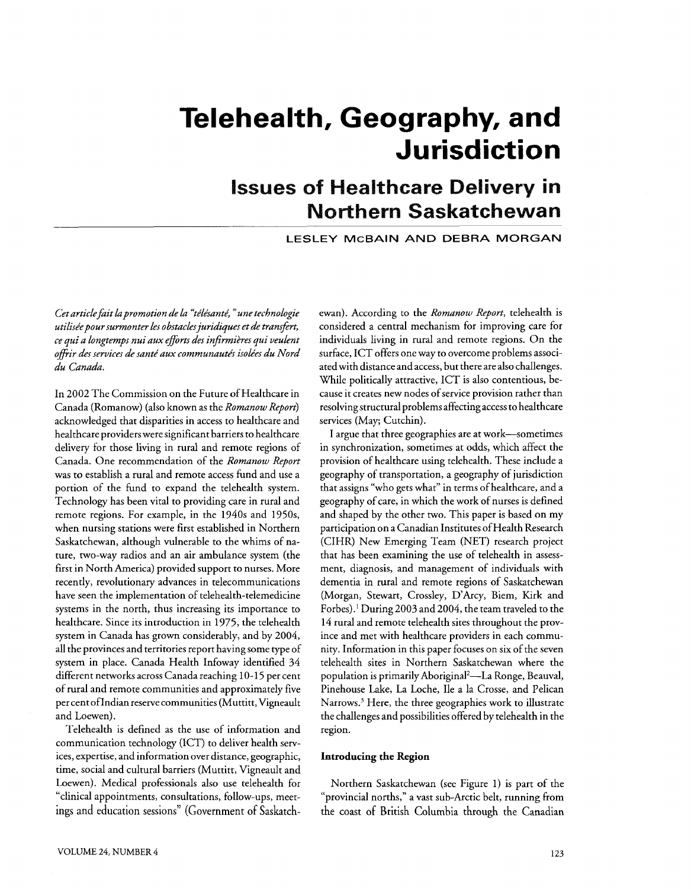# **Telehealth, Geography, and Jurisdiction**

# **Issues of Healthcare Delivery in Northern Saskatchewan**

**LESLEY McBAlN AND DEBRA MORGAN** 

Cet article fait la promotion de la "télésanté," une technologie *utilisPepour sumzonter les obstacles juridiques et* **de** *transfert, ce qui a longtemps nui aux efforts des infirmikres qui veulent*  offrir des services de santé aux communautés isolées du Nord *du Canadz.* 

In 2002 The Commission on the Future of Healthcare in Canada (Romanow) (also known as the *Romanow Report)*  acknowledged that disparities in access to healthcare and healthcare providers were significant barriers to healthcare delivery for those living in rural and remote regions of Canada. One recommendation of the *Romanow Report*  was to establish a rural and remote access fund and use a portion of the fund to expand the telehealth system. Technology has been vital to providing care in rural and remote regions. For example, in the 1940s and 1950s, when nursing stations were first established in Northern Saskatchewan, although vulnerable to the whims of nature, two-way radios and an air ambulance system (the first in North America) provided support to nurses. More recently, revolutionary advances in telecommunications have seen the implementation of telehealth-telemedicine systems in the north, thus increasing its importance to healthcare. Since its introduction in 1975, the telehealth system in Canada has grown considerably, and by 2004, all the provinces and territories report having some type of system in place. Canada Health Infoway identified 34 different networks across Canada reaching 10-15 per cent of rural and remote communities and approximately five per cent ofIndian reserve communities (Muttitt, Vigneault and Loewen).

Telehealth is defined as the use of information and communication technology (ICT) to deliver health services, expertise, and information over distance, geographic, time, social and cultural barriers (Muttitt, Vigneault and Loewen). Medical professionals also use telehealth for "clinical appointments, consultations, follow-ups, meetings and education sessions" (Government of Saskatchewan). According to the *Romanow Report,* telehealth is considered a central mechanism for improving care for individuals living in rural and remote regions. On the surface, ICT offers one way to overcome problems associated with distance and access, but there are also challenges. While politically attractive, ICT is also contentious, because it creates new nodes of service provision rather than resolvingstructural problems affecting access to healthcare services (May; Cutchin).

I argue that three geographies are at work-sometimes in synchronization, sometimes at odds, which affect the provision of healthcare using telehealth. These include a geography of transportation, a geography of jurisdiction that assigns "who gets what" in terms of healthcare, and a geography of care, in which the work of nurses is defined and shaped by the other two. This paper is based on my participation on a Canadian Institutes of Health Research (CIHR) New Emerging Team (NET) research project that has been examining the use of telehealth in assessment, diagnosis, and management of individuals with dementia in rural and remote regions of Saskatchewan (Morgan, Stewart, Crossley, D'Arcy, Biem, Kirk and Forbes).' During 2003 and 2004, the team traveled to the 14 rural and remote telehealth sites throughout the province and met with healthcare providers in each community. Information in this paper focuses on six of the seven telehealth sites in Northern Saskatchewan where the population is primarily Aboriginal2-La Ronge, Beauval, Pinehouse Lake, La Loche, Ile a la Crosse, and Pelican Narrows.<sup>3</sup> Here, the three geographies work to illustrate the challenges and possibilities offered by telehealth in the region.

#### **Introducing the Region**

Northern Saskatchewan (see Figure 1) is part of the "provincial norths," a vast sub-Arctic belt, running from the coast of British Columbia through the Canadian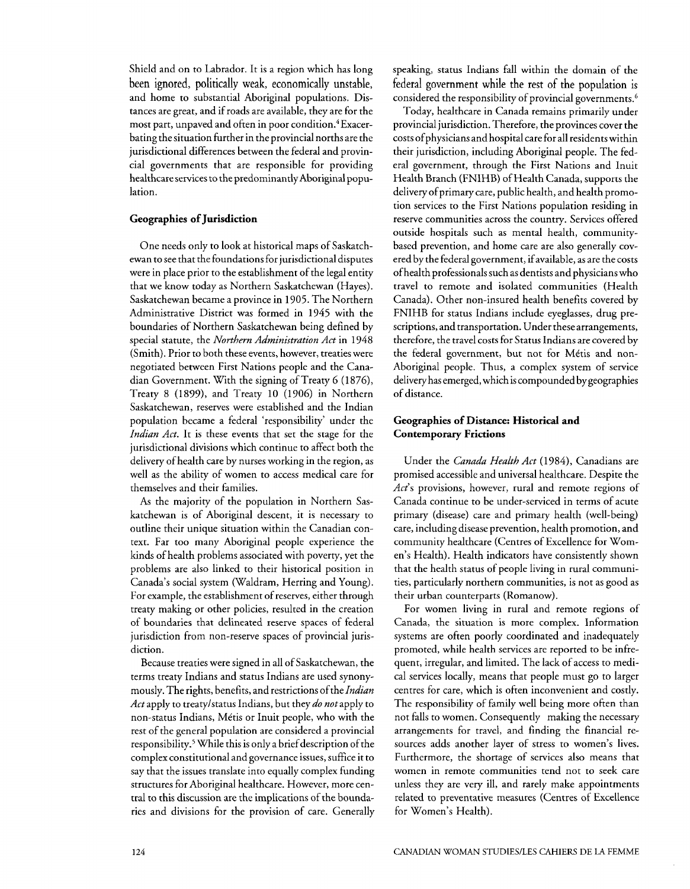Shield and on to Labrador. It is a region which has long been ignored, politically weak, economically unstable, and home to substantial Aboriginal populations. Distances are great, and if roads are available, they are for the most part, unpaved and often in poor condition.<sup>4</sup> Exacerbating the situation further in the provincial norths are the jurisdictional differences between the federal and provincial governments that are responsible for providing healthcare services to the predominantly Aboriginal population.

#### **Geographies of Jurisdiction**

One needs only to look at historical maps of Saskatchewan to see that the foundations for jurisdictional disputes were in place prior to the establishment of the legal entity that we know today as Northern Saskatchewan (Hayes). Saskatchewan became a province in 1905. The Northern Administrative District was formed in 1945 with the boundaries of Northern Saskatchewan being defined by special statute, the *Northern Administration Act* in 1948 (Smith). Prior to both these events, however, treaties were negotiated between First Nations people and the Canadian Government. With the signing of Treaty 6 (1876), Treaty 8 (1899), and Treaty 10 (1906) in Northern Saskatchewan, reserves were established and the Indian population became a federal 'responsibility' under the *Indian Act*. It is these events that set the stage for the jurisdictional divisions which continue to affect both the delivery of health care by nurses working in the region, as well as the ability of women to access medical care for themselves and their families.

As the majority of the population in Northern Saskatchewan is of Aboriginal descent, it is necessary to outline their unique situation within the Canadian context. Far too many Aboriginal people experience the kinds of health problems associated with poverty, yet the problems are also linked to their historical position in Canada's social system (Waldram, Herring and Young). For example, the establishment of reserves, either through treaty making or other policies, resulted in the creation of boundaries that delineated reserve spaces of federal jurisdiction from non-reserve spaces of provincial jurisdiction.

Because treaties were signed in all of Saskatchewan, the terms treaty Indians and status Indians are used synonymously. The rights, benefits, and restrictions of the *Indian Act* apply to treatylstatus Indians, but they *do not* apply to non-status Indians, Métis or Inuit people, who with the rest of the general population are considered a provincial responsibility.<sup>5</sup> While this is only a brief description of the complex constitutional and governance issues, suffice it to say that the issues translate into equally complex funding structures for Aboriginal healthcare. However, more central to this discussion are the implications of the boundaries and divisions for the provision of care. Generally speaking, status Indians fall within the domain of the federal government while the rest of the population is considered the responsibility of provincial governments.<sup>6</sup>

Today, healthcare in Canada remains primarily under provincial jurisdiction. Therefore, the provinces cover the costs of physicians and hospital care for all residents within their jurisdiction, including Aboriginal people. The federal government, through the First Nations and Inuit Health Branch (FNIHB) of Health Canada, supports the delivery of primary care, public health, and health promotion services to the First Nations population residing in reserve communities across the country. Services offered outside hospitals such as mental health, communitybased prevention, and home care are also generally covered by the federal government, ifavailable, as are the costs ofhealth professionals such as dentists and physicians who travel to remote and isolated communities (Health Canada). Other non-insured health benefits covered by FNIHB for status Indians include eyeglasses, drug prescriptions, and transportation. Under these arrangements, therefore, the travel costs for Status Indians are covered by the federal government, but not for Métis and non-Aboriginal people. Thus, a complex system of service delivery has emerged, which is compounded by geographies of distance.

#### **Geographies of Distance: Historical and Contemporary Frictions**

Under the *Canada Health Act* (1984), Canadians are promised accessible and universal healthcare. Despite the *Act's* provisions, however, rural and remote regions of Canada continue to be under-serviced in terms of acute primary (disease) care and primary health (well-being) care, including disease prevention, health promotion, and community healthcare (Centres of Excellence for Women's Health). Health indicators have consistently shown that the health status of people living in rural communities, particularly northern communities, is not as good as their urban counterparts (Romanow).

For women living in rural and remote regions of Canada, the situation is more complex. Information systems are often poorly coordinated and inadequately promoted, while health services are reported to be infrequent, irregular, and limited. The lack of access to medical services locally, means that people must go to larger centres for care, which is often inconvenient and costly. The responsibility of family well being more often than not falls to women. Consequently making the necessary arrangements for travel, and finding the financial resources adds another layer of stress to women's lives. Furthermore, the shortage of services also means that women in remote communities tend not to seek care unless they are very ill, and rarely make appointments related to preventative measures (Centres of Excellence for Women's Health).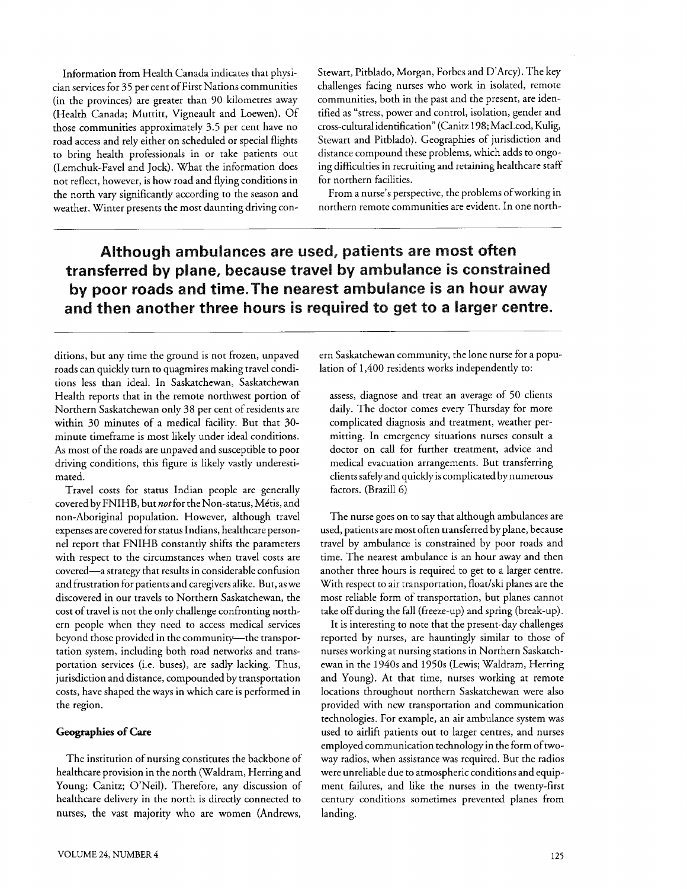Information from Health Canada indicates that physician services for 35 per cent of First Nations communities (in the provinces) are greater than 90 kilometres away (Health Canada; Muttitt, Vigneault and Loewen). Of those communities approximately 3.5 per cent have no road access and rely either on scheduled or special flights to bring health professionals in or take patients out (Lemchuk-Favel and Jock). What the information does not reflect, however, is how road and flying conditions in the north vary significantly according to the season and weather. Winter presents the most daunting driving conStewart, Pitblado, Morgan, Forbes and D'Arcy). The key challenges facing nurses who work in isolated, remote communities, both in the past and the present, are identified as "stress, power and control, isolation, gender and cross-cultural identification" (Canitz 198; MacLeod, Kulig, Stewart and Pitblado). Geographies of jurisdiction and distance compound these problems, which adds to ongoing difficulties in recruiting and retaining healthcare staff for northern facilities.

From a nurse's perspective, the problems of working in northern remote communities are evident. In one north-

**Although ambulances are used. patients are most often transferred by plane, because travel by ambulance is constrained by poor roads and time.The nearest ambulance is an hour away and then another three hours is required to get to a larger centre.** 

ditions, but any time the ground is not frozen, unpaved roads can quickly turn to quagmires making travel conditions less than ideal. In Saskatchewan, Saskatchewan Health reports that in the remote northwest portion of Northern Saskatchewan only 38 per cent of residents are within 30 minutes of a medical facility. But that 30 minute timeframe is most likely under ideal conditions. **As** most of the roads are unpaved and susceptible to poor driving conditions, this figure is likely vastly underestimated.

Travel costs for status Indian people are generally covered by FNIHB, but not for the Non-status, Métis, and non-Aboriginal population. However, although travel expenses are covered for status Indians, healthcare personnel report that FNIHB constantly shifts the parameters with respect to the circumstances when travel costs are covered-a strategy that results in considerable confusion and frustration for patients and caregivers alike. But, as we discovered in our travels to Northern Saskatchewan, the cost of travel is not the only challenge confronting northern people when they need to access medical services beyond those provided in the community-the transportation system, including both road networks and transportation services (i.e. buses), are sadly lacking. Thus, jurisdiction and distance, compounded by transportation costs, have shaped the ways in which care is performed in the region.

#### **Geographies of Care**

The institution of nursing constitutes the backbone of healthcare provision in the north (Waldram, Herring and Young; Canitz; O'Neil). Therefore, any discussion of healthcare delivery in the north is directly connected to nurses, the vast majority who are women (Andrews, ern Saskatchewan community, the lone nurse for a population of 1,400 residents works independently to:

assess, diagnose and treat an average of 50 clients daily. The doctor comes every Thursday for more complicated diagnosis and treatment, weather permitting. In emergency situations nurses consult a doctor on call for further treatment, advice and medical evacuation arrangements. But transferring clients safely and quickly is complicated by numerous factors. (Brazill 6)

The nurse goes on to say that although ambulances are used, patients are most often transferred by plane, because travel by ambulance is constrained by poor roads and time. The nearest ambulance is an hour away and then another three hours is required to get to a larger centre. With respect to air transportation, float/ski planes are the most reliable form of transportation, but planes cannot take off during the fall (freeze-up) and spring (break-up).

It is interesting to note that the present-day challenges reported by nurses, are hauntingly similar to those of nurses working at nursing stations in Northern Saskatchewan in the 1940s and 1950s (Lewis; Waldram, Herring and Young). At that time, nurses working at remote locations throughout northern Saskatchewan were also provided with new transportation and communication technologies. For example, an air ambulance system was used to airlift patients out to larger centres, and nurses employed communication technology in the form of twoway radios, when assistance was required. But the radios were unreliable due to atmospheric conditions and equipment failures, and like the nurses in the twenty-first century conditions sometimes prevented planes from landing.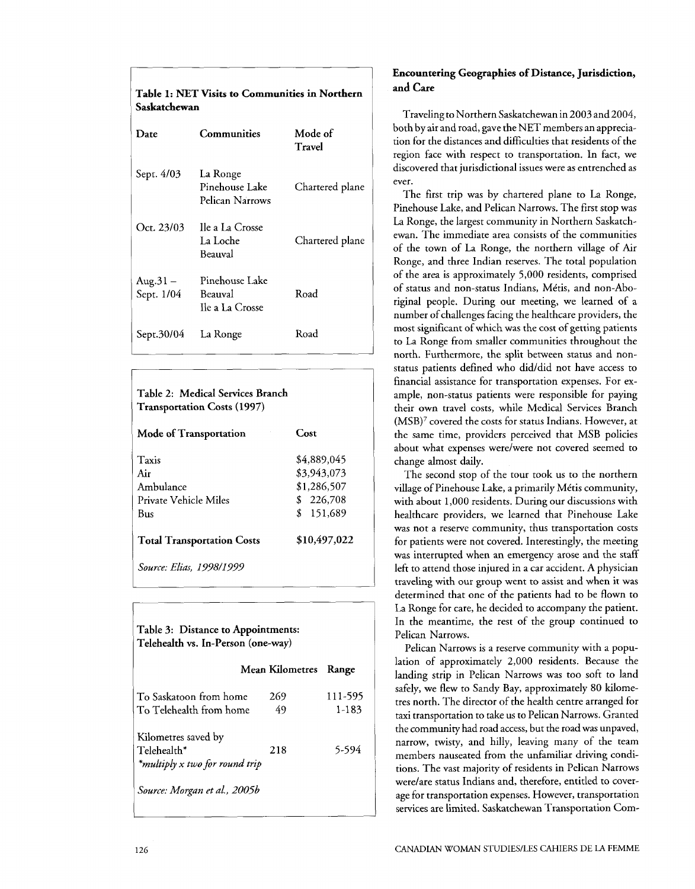| <b>Table 1: NET Visits to Communities in Northern</b><br>Saskatchewan |                                               |                   |  |
|-----------------------------------------------------------------------|-----------------------------------------------|-------------------|--|
| Date                                                                  | Communities                                   | Mode of<br>Travel |  |
| Sept. 4/03                                                            | La Ronge<br>Pinehouse Lake<br>Pelican Narrows | Chartered plane   |  |
| Oct. 23/03                                                            | Ile a La Crosse<br>La Loche<br>Beauval        | Chartered plane   |  |
| $Aug.31 -$<br>Sept. 1/04                                              | Pinehouse Lake<br>Beauval<br>Ile a La Crosse  | Road              |  |
| Sept.30/04                                                            | La Ronge                                      | Road              |  |

| Table 2: Medical Services Branch<br><b>Transportation Costs (1997)</b> |              |  |  |
|------------------------------------------------------------------------|--------------|--|--|
| Mode of Transportation                                                 | Cost         |  |  |
| Taxis                                                                  | \$4.889,045  |  |  |
| Air                                                                    | \$3,943,073  |  |  |
| Ambulance                                                              | \$1,286,507  |  |  |
| Private Vehicle Miles                                                  | \$226,708    |  |  |
| Bus                                                                    | \$151,689    |  |  |
| <b>Total Transportation Costs</b>                                      | \$10,497,022 |  |  |
| Source: Elias. 1998/1999                                               |              |  |  |

## Table **3:** Distance to Appointments: Telehealth vs. In-Person (one-way) Mean Kilometres Range To Saskatoon from home 269 111-595 To Telehealth from home 49 1-183 Kilometres saved by Telehealth\* 218 5-594 *\*multiply* **x** *two for round trip*  Source: Morgan et al., 2005b

#### Encountering Geographies of Distance, Jurisdiction, **and** Care

Traveling to Northern Saskatchewan in 2003 and 2004, both by air and road, gave the NET members an appreciation for the distances and difficulties that residents of the region face with respect to transportation. In fact, we discovered that jurisdictional issues were as entrenched as ever.

The first trip was by chartered plane to La Ronge, Pinehouse Lake, and Pelican Narrows. The first stop was La Ronge, the largest community in Northern Saskatchewan. The immediate area consists of the communities of the town of La Ronge, the northern village of Air Ronge, and three Indian reserves. The total population of the area is approximately 5,000 residents, comprised of status and non-status Indians, Metis, and non-Aboriginal people. During our meeting, we learned of a number of challenges facing the healthcare providers, the most significant of which was the cost of getting patients to La Ronge from smaller communities throughout the north. Furthermore, the split between status and nonstatus patients defined who did/did not have access to financial assistance for transportation expenses. For example, non-status patients were responsible for paying their own travel costs, while Medical Services Branch (MSB)' covered the costs for status Indians. However, at the same time, providers perceived that MSB policies about what expenses werelwere not covered seemed to change almost-daily.

The second stop of the tour took us to the northern village of Pinehouse Lake, a primarily Metis community, with about 1,000 residents. During our discussions with healthcare providers, we learned that Pinehouse Lake was not a reserve community, thus transportation costs for patients were not covered. Interestingly, the meeting was interrupted when an emergency arose and the staff left to attend those injured in a car accident. A physician traveling with our group went to assist and when it was determined that one of the patients had to be flown to La Ronge for care, he decided to accompany the patient. In the meantime, the rest of the group continued to Pelican Narrows.

Pelican Narrows is a reserve community with a population of approximately 2,000 residents. Because the landing strip in Pelican Narrows was too soft to land safely, we flew to Sandy Bay, approximately 80 kilometres north. The director of the health centre arranged for taxi transportation to take us to Pelican Narrows. Granted the community had road access, but the road was unpaved, narrow, twisty, and hilly, leaving many of the team members nauseated from the unfamiliar driving conditions. The vast majority of residents in Pelican Narrows werelare status Indians and, therefore, entitled to coverage for transportation expenses. However, transportation services are limited. Saskatchewan Transportation Com-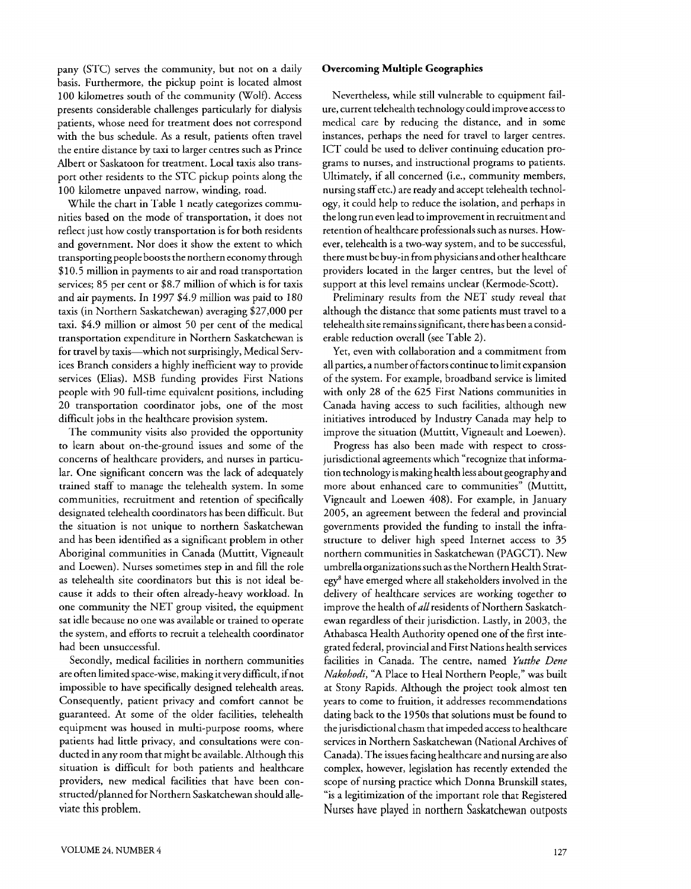pany (STC) serves the community, but not on a daily basis. Furthermore, the pickup point is located almost 100 kilometres south of the community (Wolf). Access presents considerable challenges particularly for dialysis patients, whose need for treatment does not correspond with the bus schedule. As a result, patients often travel the entire distance by taxi to larger centres such as Prince Albert or Saskatoon for treatment. Local taxis also transport other residents to the STC pickup points along the 100 kilometre unpaved narrow, winding, road.

While the chart in Table 1 neatly categorizes communities based on the mode of transportation, it does not reflect just how costly transportation is for both residents and government. Nor does it show the extent to which transporting people boosts the northern economy through \$10.5 million in payments to air and road transportation services; 85 per cent or \$8.7 million of which is for taxis and air payments. In 1997 \$4.9 million was paid to 180 taxis (in Northern Saskatchewan) averaging \$27,000 per taxi. \$4.9 million or almost 50 per cent of the medical transportation expenditure in Northern Saskatchewan is for travel by taxis-which not surprisingly, Medical Services Branch considers a highly inefficient way to provide services (Elias). MSB funding provides First Nations people with 90 full-time equivalent positions, including 20 transportation coordinator jobs, one of the most difficult jobs in the healthcare provision system.

The community visits also provided the opportunity to learn about on-the-ground issues and some of the concerns of healthcare providers, and nurses in particular. One significant concern was the lack of adequately trained staff to manage the telehealth system. In some communities, recruitment and retention of specifically designated telehealth coordinators has been difficult. But the situation is not unique to northern Saskatchewan and has been identified as a significant problem in other Aboriginal communities in Canada (Muttitt, Vigneault and Loewen). Nurses sometimes step in and fill the role as telehealth site coordinators but this is not ideal because it adds to their often already-heavy workload. In one community the NET group visited, the equipment sat idle because no one was available or trained to operate the system, and efforts to recruit a telehealth coordinator had been unsuccessful.

Secondly, medical facilities in northern communities are often limited space-wise, making it very difficult, if not impossible to have specifically designed telehealth areas. Consequently, patient privacy and comfort cannot be guaranteed. At some of the older facilities, telehealth equipment was housed in multi-purpose rooms, where patients had little privacy, and consultations were conducted in any room that might be available. Although this situation is difficult for both patients and healthcare providers, new medical facilities that have been constructed/planned for Northern Saskatchewan should alleviate this problem.

#### **Overcoming Multiple Geographies**

Nevertheless, while still vulnerable to equipment failure, current telehealth technology could improve access to medical care by reducing the distance, and in some instances, perhaps the need for travel to larger centres. ICT could be used to deliver continuing education programs to nurses, and instructional programs to patients. Ultimately, if all concerned (i.e., community members, nursing staff etc.) are ready and accept telehealth technology, it could help to reduce the isolation, and perhaps in the long run even lead to improvement in recruitment and retention of healthcare professionals such as nurses. However, telehealth is a two-way system, and to be successful, there must be buy-in from physicians and other healthcare providers located in the larger centres, but the level of support at this level remains unclear (Kermode-Scott).

Preliminary results from the NET study reveal that although the distance that some patients must travel to a telehealth site remains significant, there has been a considerable reduction overall (see Table 2).

Yet, even with collaboration and a commitment from all parties, a number offactors continue to limit expansion of the system. For example, broadband service is limited with only 28 of the 625 First Nations communities in Canada having access to such facilities, although new initiatives introduced by Industry Canada may help to improve the situation (Muttitt, Vigneault and Loewen).

Progress has also been made with respect to crossjurisdictional agreements which "recognize that information technology is making health less about geography and more about enhanced care to communities" (Muttitt, Vigneault and Loewen 408). For example, in January 2005, an agreement between the federal and provincial governments provided the funding to install the infrastructure to deliver high speed Internet access to 35 northern communities in Saskatchewan (PAGCT). New umbrella organizations such as the Northern Health Strategy8 have emerged where all stakeholders involved in the delivery of healthcare services are working together to improve the health of all residents of Northern Saskatchewan regardless of their jurisdiction. Lastly, in 2003, the Athabasca Health Authority opened one of the first integrated federal, provincial and First Nations health services facilities in Canada. The centre, named *Yutthe* Dene *Nakohodi,* "A Place to Heal Northern People," was built at Stony Rapids. Although the project took almost ten years to come to fruition, it addresses recommendations dating back to the 1950s that solutions must be found to the jurisdictional chasm that impeded access to healthcare services in Northern Saskatchewan (National Archives of Canada). The issues facing healthcare and nursing are also complex, however, legislation has recently extended the scope of nursing practice which Donna Brunskill states, "is a legitimization of the important role that Registered Nurses have played in northern Saskatchewan outposts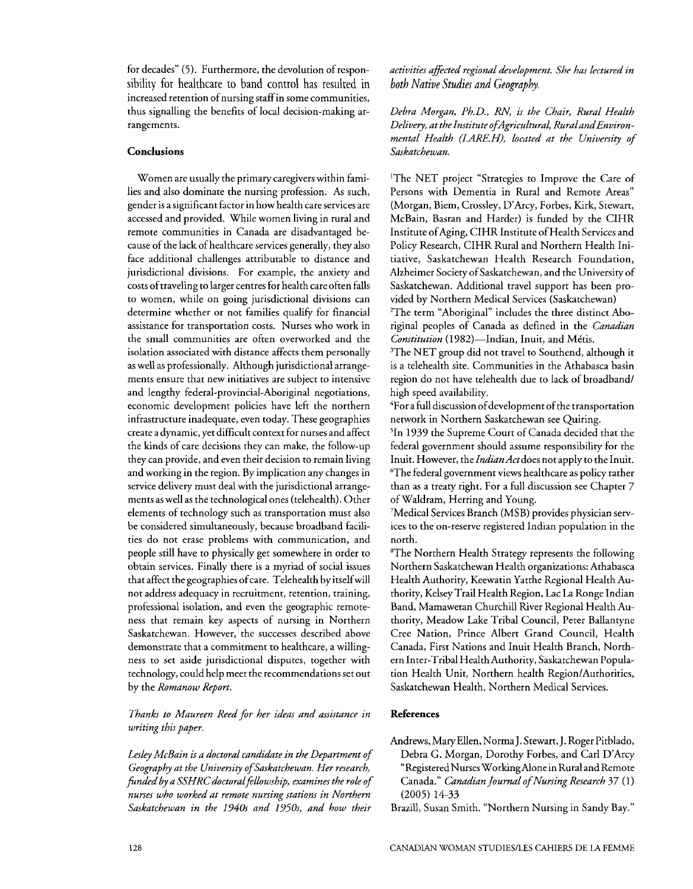for decades" *(5).* Furthermore, the devolution of responsibility for healthcare to band control has resulted in increased retention of nursing staff in some communities, thus signalling the benefits of local decision-making arrangements.

#### **Conclusions**

Women are usually the primary caregivers within families and also dominate the nursing profession. **As** such, gender is a significant factor in how health care services are accessed and provided. While women living in rural and remote communities in Canada are disadvantaged because of the lack of healthcare services generally, they also face additional challenges attributable to distance and jurisdictional divisions. For example, the anxiety and costs of traveling to larger centres for health care often falls to women, while on going jurisdictional divisions can determine whether or not families qualify for financial assistance for transportation costs. Nurses who work in the small communities are often overworked and the isolation associated with distance affects them personally as well as professionally. Although jurisdictional arrangements ensure that new initiatives are subject to intensive and lengthy federal-provincial-Aboriginal negotiations, economic development policies have left the northern infrastructure inadequate, even today. These geographies create a dynamic, yet difficult context for nurses and affect the kinds of care decisions they can make, the follow-up they can provide, and even their decision to remain living and working in the region. By implication any changes in service delivery must deal with the jurisdictional arrangements as well as the technological ones (telehealth). Other elements of technology such as transportation must also be considered simultaneously, because broadband facilities do not erase problems with communication, and people still have to physically get somewhere in order to obtain services. Finally there is a myriad of social issues that affect the geographies of care. Telehealth by itself will not address adequacy in recruitment, retention, training, professional isolation, and even the geographic remoteness that remain key aspects of nursing in Northern Saskatchewan. However, the successes described above demonstrate that a commitment to healthcare, a willingness to set aside jurisdictional disputes, together with technology, could help meet the recommendations set out by the *Romanow Report.* 

#### *Thanks to Maureen Reed for her ideas and assistance in writing this paper.*

*Lesley McBain is a doctoral candidate in the Department of Geography at the University of Saskatchewan. Her research,*  funded by a SSHRC doctoral fellowship, examines the role of *nurses who worked at remote nursing stations in Northern Saskatchewan in the 1940s and 1950s, and how their* 

*activities afected regional development. She has lectured in both Native Studies and Geogrdphy.* 

*Debra Morgan, Ph.D.,* RN, *is the Chair, Rural Health*  Delivery, at the Institute of Agricultural, Rural and Environmental Health (I.ARE.H), located at the University of *Saskatchewan.* 

'The NET project "Strategies to Improve the Care of Persons with Dementia in Rural and Remote Areas" (Morgan, Biem, Crossley, D'Arcy, Forbes, Kirk, Stewart, McBain, Basran and Harder) is funded by the CIHR Institute of Aging, CIHR Institute of Health Services and Policy Research, CIHR Rural and Northern Health Initiative, Saskatchewan Health Research Foundation, Alzheimer Society of Saskatchewan, and the University of Saskatchewan. Additional travel support has been provided by Northern Medical Services (Saskatchewan) <sup>2</sup>The term "Aboriginal" includes the three distinct Aboriginal peoples of Canada as defined in the *Canadian Constitution* (1982)-Indian, Inuit, and Métis.

<sup>3</sup>The NET group did not travel to Southend, although it is a telehealth site. Communities in the Athabasca basin region do not have telehealth due to lack of broadband/ high speed availability.

4For a full discussion of development of the transportation network in Northern Saskatchewan see Quiring.

51n 1939 the Supreme Court of Canada decided that the federal government should assume responsibility for the Inuit. However, the *IndianActdoes* not apply to the Inuit. 'The federal government views healthcare as policy rather than as a treaty right. For a full discussion see Chapter 7 of Waldram, Herring and Young.

'Medical Services Branch (MSB) provides physician services to the on-reserve registered Indian population in the north.

'The Northern Health Strategy represents the following Northern Saskatchewan Health organizations: Athabasca Health Authority, Keewatin Yatthe Regional Health Authority, Kelsey Trail Health Region, Lac La Ronge Indian Band, Mamawetan Churchill River Regional Health Authority, Meadow Lake Tribal Council, Peter Ballantyne Cree Nation, Prince Albert Grand Council, Health Canada, First Nations and Inuit Health Branch, Northern Inter-Tribal Health Authority, Saskatchewan Population Health Unit, Northern health Region/Authorities, Saskatchewan Health. Northern Medical Services.

#### **References**

- Andrews, Mary Ellen, Norma J. Stewarr, J. Roger Pitblado, Debra G. Morgan, Dorothy Forbes, and Car1 D'Arcy "Registered Nurses Working Alone in Rural and Remote Canada." *Canadian Journal ofNursing Research* 37 (1) (2005) 14-33
- Brazill, Susan Smith. "Northern Nursing in Sandy Bay."